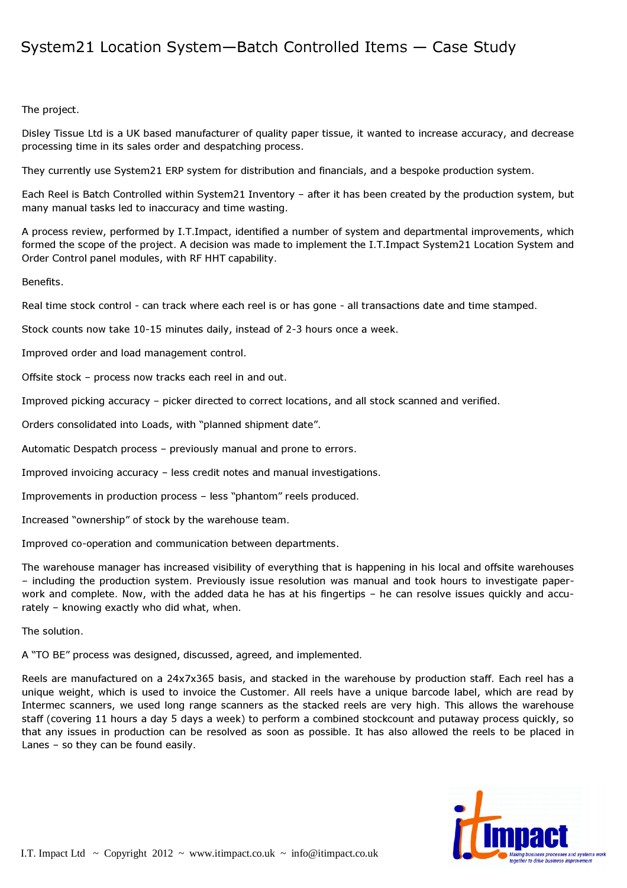## System21 Location System—Batch Controlled Items — Case Study

## The project.

Disley Tissue Ltd is a UK based manufacturer of quality paper tissue, it wanted to increase accuracy, and decrease processing time in its sales order and despatching process.

They currently use System21 ERP system for distribution and financials, and a bespoke production system.

Each Reel is Batch Controlled within System21 Inventory – after it has been created by the production system, but many manual tasks led to inaccuracy and time wasting.

A process review, performed by I.T.Impact, identified a number of system and departmental improvements, which formed the scope of the project. A decision was made to implement the I.T.Impact System21 Location System and Order Control panel modules, with RF HHT capability.

## Benefits.

Real time stock control - can track where each reel is or has gone - all transactions date and time stamped.

Stock counts now take 10-15 minutes daily, instead of 2-3 hours once a week.

Improved order and load management control.

Offsite stock – process now tracks each reel in and out.

Improved picking accuracy – picker directed to correct locations, and all stock scanned and verified.

Orders consolidated into Loads, with "planned shipment date".

Automatic Despatch process – previously manual and prone to errors.

Improved invoicing accuracy – less credit notes and manual investigations.

Improvements in production process – less "phantom" reels produced.

Increased "ownership" of stock by the warehouse team.

Improved co-operation and communication between departments.

The warehouse manager has increased visibility of everything that is happening in his local and offsite warehouses – including the production system. Previously issue resolution was manual and took hours to investigate paperwork and complete. Now, with the added data he has at his fingertips – he can resolve issues quickly and accurately – knowing exactly who did what, when.

The solution.

A "TO BE" process was designed, discussed, agreed, and implemented.

Reels are manufactured on a 24x7x365 basis, and stacked in the warehouse by production staff. Each reel has a unique weight, which is used to invoice the Customer. All reels have a unique barcode label, which are read by Intermec scanners, we used long range scanners as the stacked reels are very high. This allows the warehouse staff (covering 11 hours a day 5 days a week) to perform a combined stockcount and putaway process quickly, so that any issues in production can be resolved as soon as possible. It has also allowed the reels to be placed in Lanes – so they can be found easily.